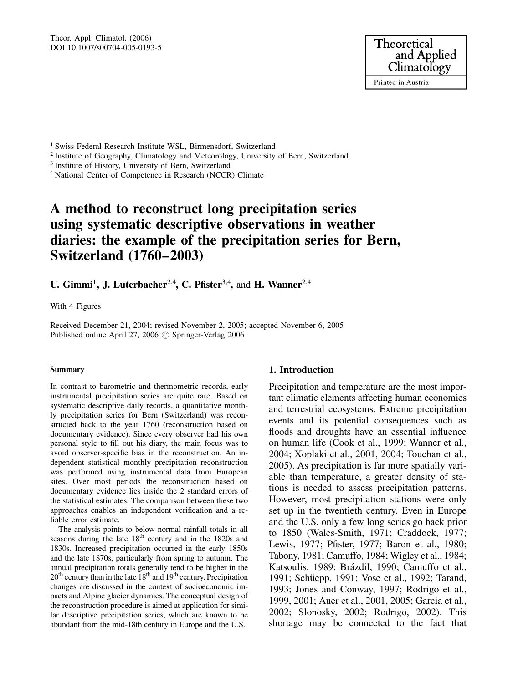Theor. Appl. Climatol. (2006) DOI 10.1007/s00704-005-0193-5



<sup>1</sup> Swiss Federal Research Institute WSL, Birmensdorf, Switzerland

<sup>2</sup> Institute of Geography, Climatology and Meteorology, University of Bern, Switzerland

<sup>3</sup> Institute of History, University of Bern, Switzerland

<sup>4</sup> National Center of Competence in Research (NCCR) Climate

# A method to reconstruct long precipitation series using systematic descriptive observations in weather diaries: the example of the precipitation series for Bern, Switzerland (1760–2003)

U. Gimmi<sup>1</sup>, J. Luterbacher<sup>2,4</sup>, C. Pfister<sup>3,4</sup>, and H. Wanner<sup>2,4</sup>

With 4 Figures

Received December 21, 2004; revised November 2, 2005; accepted November 6, 2005 Published online April 27, 2006  $\circ$  Springer-Verlag 2006

#### Summary

In contrast to barometric and thermometric records, early instrumental precipitation series are quite rare. Based on systematic descriptive daily records, a quantitative monthly precipitation series for Bern (Switzerland) was reconstructed back to the year 1760 (reconstruction based on documentary evidence). Since every observer had his own personal style to fill out his diary, the main focus was to avoid observer-specific bias in the reconstruction. An independent statistical monthly precipitation reconstruction was performed using instrumental data from European sites. Over most periods the reconstruction based on documentary evidence lies inside the 2 standard errors of the statistical estimates. The comparison between these two approaches enables an independent verification and a reliable error estimate.

The analysis points to below normal rainfall totals in all seasons during the late  $18<sup>th</sup>$  century and in the 1820s and 1830s. Increased precipitation occurred in the early 1850s and the late 1870s, particularly from spring to autumn. The annual precipitation totals generally tend to be higher in the 20<sup>th</sup> century than in the late 18<sup>th</sup> and 19<sup>th</sup> century. Precipitation changes are discussed in the context of socioeconomic impacts and Alpine glacier dynamics. The conceptual design of the reconstruction procedure is aimed at application for similar descriptive precipitation series, which are known to be abundant from the mid-18th century in Europe and the U.S.

## 1. Introduction

Precipitation and temperature are the most important climatic elements affecting human economies and terrestrial ecosystems. Extreme precipitation events and its potential consequences such as floods and droughts have an essential influence on human life (Cook et al., 1999; Wanner et al., 2004; Xoplaki et al., 2001, 2004; Touchan et al., 2005). As precipitation is far more spatially variable than temperature, a greater density of stations is needed to assess precipitation patterns. However, most precipitation stations were only set up in the twentieth century. Even in Europe and the U.S. only a few long series go back prior to 1850 (Wales-Smith, 1971; Craddock, 1977; Lewis, 1977; Pfister, 1977; Baron et al., 1980; Tabony, 1981; Camuffo, 1984; Wigley et al., 1984; Katsoulis, 1989; Brázdil, 1990; Camuffo et al., 1991; Schüepp, 1991; Vose et al., 1992; Tarand, 1993; Jones and Conway, 1997; Rodrigo et al., 1999, 2001; Auer et al., 2001, 2005; Garcia et al., 2002; Slonosky, 2002; Rodrigo, 2002). This shortage may be connected to the fact that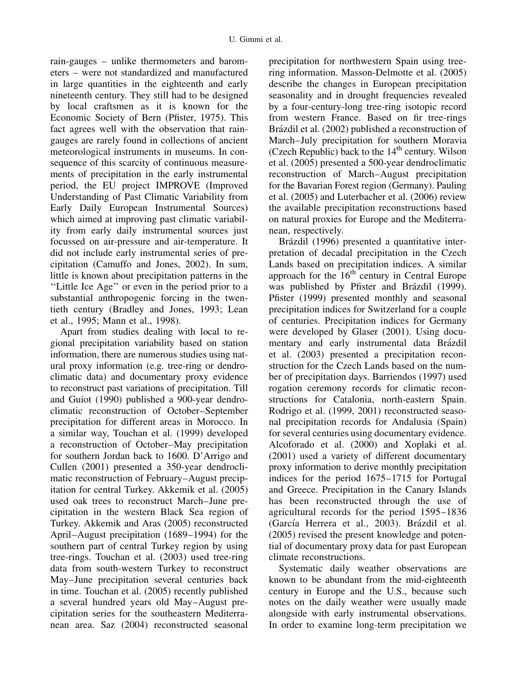rain-gauges – unlike thermometers and barometers – were not standardized and manufactured in large quantities in the eighteenth and early nineteenth century. They still had to be designed by local craftsmen as it is known for the Economic Society of Bern (Pfister, 1975). This fact agrees well with the observation that raingauges are rarely found in collections of ancient meteorological instruments in museums. In consequence of this scarcity of continuous measurements of precipitation in the early instrumental period, the EU project IMPROVE (Improved Understanding of Past Climatic Variability from Early Daily European Instrumental Sources) which aimed at improving past climatic variability from early daily instrumental sources just focussed on air-pressure and air-temperature. It did not include early instrumental series of precipitation (Camuffo and Jones, 2002). In sum, little is known about precipitation patterns in the ''Little Ice Age'' or even in the period prior to a substantial anthropogenic forcing in the twentieth century (Bradley and Jones, 1993; Lean et al., 1995; Mann et al., 1998).

Apart from studies dealing with local to regional precipitation variability based on station information, there are numerous studies using natural proxy information (e.g. tree-ring or dendroclimatic data) and documentary proxy evidence to reconstruct past variations of precipitation. Till and Guiot (1990) published a 900-year dendroclimatic reconstruction of October–September precipitation for different areas in Morocco. In a similar way, Touchan et al. (1999) developed a reconstruction of October–May precipitation for southern Jordan back to 1600. D'Arrigo and Cullen (2001) presented a 350-year dendroclimatic reconstruction of February–August precipitation for central Turkey. Akkemik et al. (2005) used oak trees to reconstruct March–June precipitation in the western Black Sea region of Turkey. Akkemik and Aras (2005) reconstructed April–August precipitation (1689–1994) for the southern part of central Turkey region by using tree-rings. Touchan et al. (2003) used tree-ring data from south-western Turkey to reconstruct May–June precipitation several centuries back in time. Touchan et al. (2005) recently published a several hundred years old May–August precipitation series for the southeastern Mediterranean area. Saz (2004) reconstructed seasonal

precipitation for northwestern Spain using treering information. Masson-Delmotte et al. (2005) describe the changes in European precipitation seasonality and in drought frequencies revealed by a four-century-long tree-ring isotopic record from western France. Based on fir tree-rings Brázdil et al. (2002) published a reconstruction of March–July precipitation for southern Moravia (Czech Republic) back to the  $14<sup>th</sup>$  century. Wilson et al. (2005) presented a 500-year dendroclimatic reconstruction of March–August precipitation for the Bavarian Forest region (Germany). Pauling et al. (2005) and Luterbacher et al. (2006) review the available precipitation reconstructions based on natural proxies for Europe and the Mediterranean, respectively.

Brázdil (1996) presented a quantitative interpretation of decadal precipitation in the Czech Lands based on precipitation indices. A similar approach for the  $16<sup>th</sup>$  century in Central Europe was published by Pfister and Brázdil (1999). Pfister (1999) presented monthly and seasonal precipitation indices for Switzerland for a couple of centuries. Precipitation indices for Germany were developed by Glaser (2001). Using documentary and early instrumental data Brázdil et al. (2003) presented a precipitation reconstruction for the Czech Lands based on the number of precipitation days. Barriendos (1997) used rogation ceremony records for climatic reconstructions for Catalonia, north-eastern Spain. Rodrigo et al. (1999, 2001) reconstructed seasonal precipitation records for Andalusia (Spain) for several centuries using documentary evidence. Alcoforado et al. (2000) and Xoplaki et al. (2001) used a variety of different documentary proxy information to derive monthly precipitation indices for the period 1675–1715 for Portugal and Greece. Precipitation in the Canary Islands has been reconstructed through the use of agricultural records for the period 1595–1836 (García Herrera et al., 2003). Brázdil et al. (2005) revised the present knowledge and potential of documentary proxy data for past European climate reconstructions.

Systematic daily weather observations are known to be abundant from the mid-eighteenth century in Europe and the U.S., because such notes on the daily weather were usually made alongside with early instrumental observations. In order to examine long-term precipitation we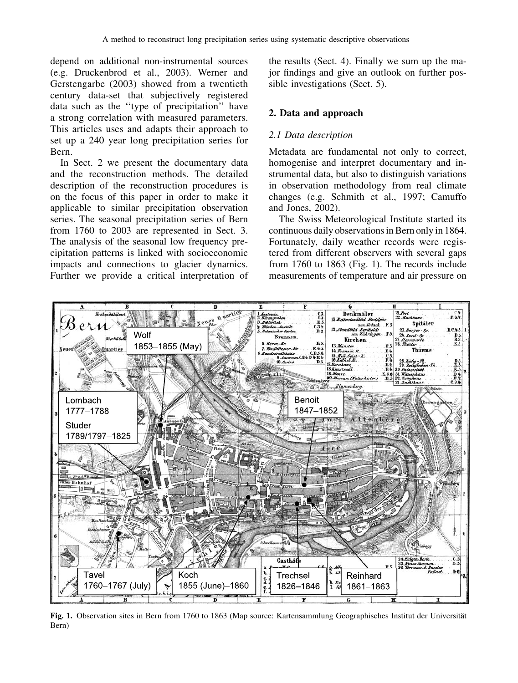depend on additional non-instrumental sources (e.g. Druckenbrod et al., 2003). Werner and Gerstengarbe (2003) showed from a twentieth century data-set that subjectively registered data such as the ''type of precipitation'' have a strong correlation with measured parameters. This articles uses and adapts their approach to set up a 240 year long precipitation series for Bern.

In Sect. 2 we present the documentary data and the reconstruction methods. The detailed description of the reconstruction procedures is on the focus of this paper in order to make it applicable to similar precipitation observation series. The seasonal precipitation series of Bern from 1760 to 2003 are represented in Sect. 3. The analysis of the seasonal low frequency precipitation patterns is linked with socioeconomic impacts and connections to glacier dynamics. Further we provide a critical interpretation of the results (Sect. 4). Finally we sum up the major findings and give an outlook on further possible investigations (Sect. 5).

## 2. Data and approach

## 2.1 Data description

Metadata are fundamental not only to correct, homogenise and interpret documentary and instrumental data, but also to distinguish variations in observation methodology from real climate changes (e.g. Schmith et al., 1997; Camuffo and Jones, 2002).

The Swiss Meteorological Institute started its continuous daily observations in Bern only in 1864. Fortunately, daily weather records were registered from different observers with several gaps from 1760 to 1863 (Fig. 1). The records include measurements of temperature and air pressure on



Fig. 1. Observation sites in Bern from 1760 to 1863 (Map source: Kartensammlung Geographisches Institut der Universität Bern)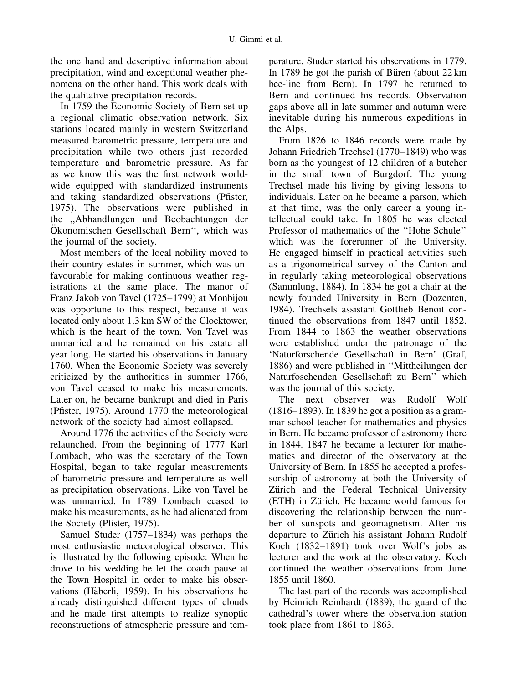the one hand and descriptive information about precipitation, wind and exceptional weather phenomena on the other hand. This work deals with the qualitative precipitation records.

In 1759 the Economic Society of Bern set up a regional climatic observation network. Six stations located mainly in western Switzerland measured barometric pressure, temperature and precipitation while two others just recorded temperature and barometric pressure. As far as we know this was the first network worldwide equipped with standardized instruments and taking standardized observations (Pfister, 1975). The observations were published in the ,,Abhandlungen und Beobachtungen der Okonomischen Gesellschaft Bern", which was the journal of the society.

Most members of the local nobility moved to their country estates in summer, which was unfavourable for making continuous weather registrations at the same place. The manor of Franz Jakob von Tavel (1725–1799) at Monbijou was opportune to this respect, because it was located only about 1.3 km SW of the Clocktower, which is the heart of the town. Von Tavel was unmarried and he remained on his estate all year long. He started his observations in January 1760. When the Economic Society was severely criticized by the authorities in summer 1766, von Tavel ceased to make his measurements. Later on, he became bankrupt and died in Paris (Pfister, 1975). Around 1770 the meteorological network of the society had almost collapsed.

Around 1776 the activities of the Society were relaunched. From the beginning of 1777 Karl Lombach, who was the secretary of the Town Hospital, began to take regular measurements of barometric pressure and temperature as well as precipitation observations. Like von Tavel he was unmarried. In 1789 Lombach ceased to make his measurements, as he had alienated from the Society (Pfister, 1975).

Samuel Studer (1757–1834) was perhaps the most enthusiastic meteorological observer. This is illustrated by the following episode: When he drove to his wedding he let the coach pause at the Town Hospital in order to make his observations (Häberli, 1959). In his observations he already distinguished different types of clouds and he made first attempts to realize synoptic reconstructions of atmospheric pressure and temperature. Studer started his observations in 1779. In 1789 he got the parish of Büren (about  $22 \text{ km}$ ) bee-line from Bern). In 1797 he returned to Bern and continued his records. Observation gaps above all in late summer and autumn were inevitable during his numerous expeditions in the Alps.

From 1826 to 1846 records were made by Johann Friedrich Trechsel (1770–1849) who was born as the youngest of 12 children of a butcher in the small town of Burgdorf. The young Trechsel made his living by giving lessons to individuals. Later on he became a parson, which at that time, was the only career a young intellectual could take. In 1805 he was elected Professor of mathematics of the ''Hohe Schule'' which was the forerunner of the University. He engaged himself in practical activities such as a trigonometrical survey of the Canton and in regularly taking meteorological observations (Sammlung, 1884). In 1834 he got a chair at the newly founded University in Bern (Dozenten, 1984). Trechsels assistant Gottlieb Benoit continued the observations from 1847 until 1852. From 1844 to 1863 the weather observations were established under the patronage of the 'Naturforschende Gesellschaft in Bern' (Graf, 1886) and were published in ''Mittheilungen der Naturfoschenden Gesellschaft zu Bern'' which was the journal of this society.

The next observer was Rudolf Wolf (1816–1893). In 1839 he got a position as a grammar school teacher for mathematics and physics in Bern. He became professor of astronomy there in 1844. 1847 he became a lecturer for mathematics and director of the observatory at the University of Bern. In 1855 he accepted a professorship of astronomy at both the University of Zürich and the Federal Technical University (ETH) in Zürich. He became world famous for discovering the relationship between the number of sunspots and geomagnetism. After his departure to Zürich his assistant Johann Rudolf Koch (1832–1891) took over Wolf's jobs as lecturer and the work at the observatory. Koch continued the weather observations from June 1855 until 1860.

The last part of the records was accomplished by Heinrich Reinhardt (1889), the guard of the cathedral's tower where the observation station took place from 1861 to 1863.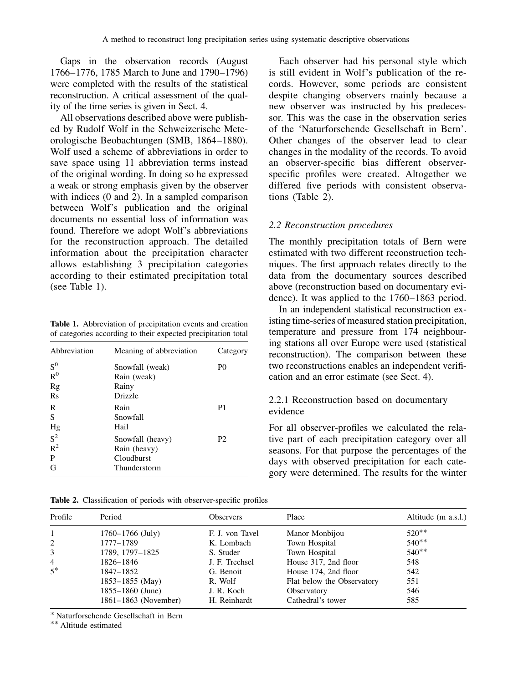Gaps in the observation records (August 1766–1776, 1785 March to June and 1790–1796) were completed with the results of the statistical reconstruction. A critical assessment of the quality of the time series is given in Sect. 4.

All observations described above were published by Rudolf Wolf in the Schweizerische Meteorologische Beobachtungen (SMB, 1864–1880). Wolf used a scheme of abbreviations in order to save space using 11 abbreviation terms instead of the original wording. In doing so he expressed a weak or strong emphasis given by the observer with indices (0 and 2). In a sampled comparison between Wolf's publication and the original documents no essential loss of information was found. Therefore we adopt Wolf's abbreviations for the reconstruction approach. The detailed information about the precipitation character allows establishing 3 precipitation categories according to their estimated precipitation total (see Table 1).

Table 1. Abbreviation of precipitation events and creation of categories according to their expected precipitation total

| Meaning of abbreviation                                        | Category       |
|----------------------------------------------------------------|----------------|
| Snowfall (weak)<br>Rain (weak)<br>Rainy                        | P <sub>0</sub> |
| Drizzle<br>Rain                                                | P <sub>1</sub> |
| Snowfall<br>Hail                                               |                |
| Snowfall (heavy)<br>Rain (heavy)<br>Cloudburst<br>Thunderstorm | P <sub>2</sub> |
|                                                                |                |

Each observer had his personal style which is still evident in Wolf's publication of the records. However, some periods are consistent despite changing observers mainly because a new observer was instructed by his predecessor. This was the case in the observation series of the 'Naturforschende Gesellschaft in Bern'. Other changes of the observer lead to clear changes in the modality of the records. To avoid an observer-specific bias different observerspecific profiles were created. Altogether we differed five periods with consistent observations (Table 2).

## 2.2 Reconstruction procedures

The monthly precipitation totals of Bern were estimated with two different reconstruction techniques. The first approach relates directly to the data from the documentary sources described above (reconstruction based on documentary evidence). It was applied to the 1760–1863 period.

In an independent statistical reconstruction existing time-series of measured station precipitation, temperature and pressure from 174 neighbouring stations all over Europe were used (statistical reconstruction). The comparison between these two reconstructions enables an independent verification and an error estimate (see Sect. 4).

# 2.2.1 Reconstruction based on documentary evidence

For all observer-profiles we calculated the relative part of each precipitation category over all seasons. For that purpose the percentages of the days with observed precipitation for each category were determined. The results for the winter

| Table 2. Classification of periods with observer-specific profiles |  |  |  |  |  |  |
|--------------------------------------------------------------------|--|--|--|--|--|--|
|--------------------------------------------------------------------|--|--|--|--|--|--|

| Profile        | Period               | <b>Observers</b> | Place                      | Altitude (m a.s.l.) |
|----------------|----------------------|------------------|----------------------------|---------------------|
|                | $1760 - 1766$ (July) | F. J. von Tavel  | Manor Monbijou             | $520**$             |
| $\overline{2}$ | 1777-1789            | K. Lombach       | Town Hospital              | $540**$             |
|                | 1789, 1797-1825      | S. Studer        | Town Hospital              | $540**$             |
| 4              | 1826–1846            | J. F. Trechsel   | House 317, 2nd floor       | 548                 |
| $5*$           | 1847-1852            | G. Benoit        | House 174, 2nd floor       | 542                 |
|                | $1853 - 1855$ (May)  | R. Wolf          | Flat below the Observatory | 551                 |
|                | $1855 - 1860$ (June) | J. R. Koch       | Observatory                | 546                 |
|                | 1861–1863 (November) | H. Reinhardt     | Cathedral's tower          | 585                 |
|                |                      |                  |                            |                     |

Naturforschende Gesellschaft in Bern

Altitude estimated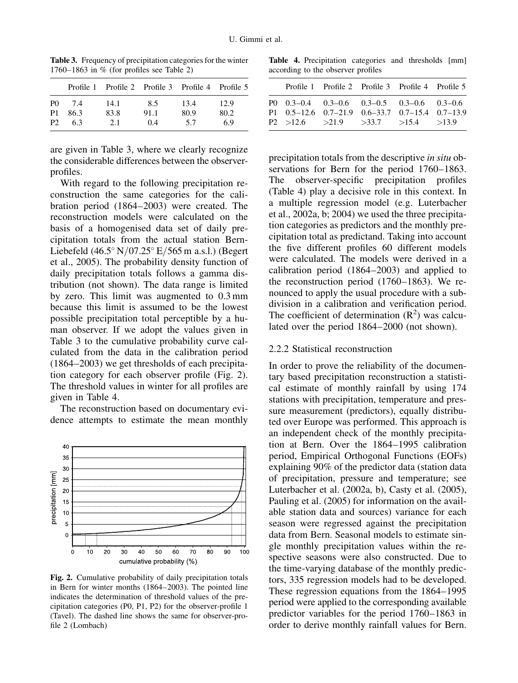|                |      | Profile 1 Profile 2 Profile 3 Profile 4 Profile 5 |      |      |      |
|----------------|------|---------------------------------------------------|------|------|------|
| P <sub>0</sub> | 7.4  | 14.1                                              | 8.5  | 13.4 | 12.9 |
| P1             | 86.3 | 83.8                                              | 91.1 | 80.9 | 80.2 |
| P <sub>2</sub> | 63   | 2.1                                               | 04   | 5.7  | 6.9  |

Table 3. Frequency of precipitation categories for the winter 1760–1863 in % (for profiles see Table 2)

are given in Table 3, where we clearly recognize the considerable differences between the observerprofiles.

With regard to the following precipitation reconstruction the same categories for the calibration period (1864–2003) were created. The reconstruction models were calculated on the basis of a homogenised data set of daily precipitation totals from the actual station Bern-Liebefeld  $(46.5^{\circ} N/07.25^{\circ} E/565 m$  a.s.l.) (Begert et al., 2005). The probability density function of daily precipitation totals follows a gamma distribution (not shown). The data range is limited by zero. This limit was augmented to 0.3 mm because this limit is assumed to be the lowest possible precipitation total perceptible by a human observer. If we adopt the values given in Table 3 to the cumulative probability curve calculated from the data in the calibration period (1864–2003) we get thresholds of each precipitation category for each observer profile (Fig. 2). The threshold values in winter for all profiles are given in Table 4.

The reconstruction based on documentary evidence attempts to estimate the mean monthly



Fig. 2. Cumulative probability of daily precipitation totals in Bern for winter months (1864–2003). The pointed line indicates the determination of threshold values of the precipitation categories (P0, P1, P2) for the observer-profile 1 (Tavel). The dashed line shows the same for observer-profile 2 (Lombach)

Table 4. Precipitation categories and thresholds [mm] according to the observer profiles

|                                                                                                                                        |  | Profile 1 Profile 2 Profile 3 Profile 4 Profile 5 |  |
|----------------------------------------------------------------------------------------------------------------------------------------|--|---------------------------------------------------|--|
| P0 0.3–0.4 0.3–0.6 0.3–0.5 0.3–0.6 0.3–0.6<br>P1 0.5-12.6 0.7-21.9 0.6-33.7 0.7-15.4 0.7-13.9<br>P2 > 12.6 > 21.9 > 33.7 > 15.4 > 13.9 |  |                                                   |  |

precipitation totals from the descriptive in situ observations for Bern for the period 1760–1863. The observer-specific precipitation profiles (Table 4) play a decisive role in this context. In a multiple regression model (e.g. Luterbacher et al., 2002a, b; 2004) we used the three precipitation categories as predictors and the monthly precipitation total as predictand. Taking into account the five different profiles 60 different models were calculated. The models were derived in a calibration period (1864–2003) and applied to the reconstruction period (1760–1863). We renounced to apply the usual procedure with a subdivision in a calibration and verification period. The coefficient of determination  $(R^2)$  was calculated over the period 1864–2000 (not shown).

#### 2.2.2 Statistical reconstruction

In order to prove the reliability of the documentary based precipitation reconstruction a statistical estimate of monthly rainfall by using 174 stations with precipitation, temperature and pressure measurement (predictors), equally distributed over Europe was performed. This approach is an independent check of the monthly precipitation at Bern. Over the 1864–1995 calibration period, Empirical Orthogonal Functions (EOFs) explaining 90% of the predictor data (station data of precipitation, pressure and temperature; see Luterbacher et al. (2002a, b), Casty et al. (2005), Pauling et al. (2005) for information on the available station data and sources) variance for each season were regressed against the precipitation data from Bern. Seasonal models to estimate single monthly precipitation values within the respective seasons were also constructed. Due to the time-varying database of the monthly predictors, 335 regression models had to be developed. These regression equations from the 1864–1995 period were applied to the corresponding available predictor variables for the period 1760–1863 in order to derive monthly rainfall values for Bern.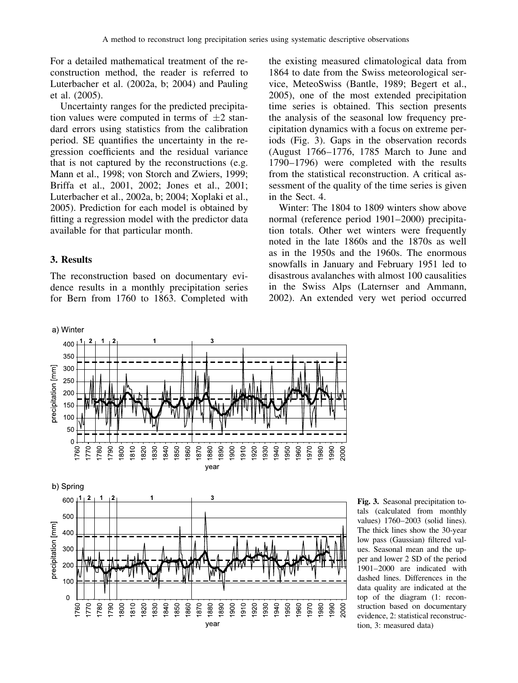For a detailed mathematical treatment of the reconstruction method, the reader is referred to Luterbacher et al. (2002a, b; 2004) and Pauling et al. (2005).

Uncertainty ranges for the predicted precipitation values were computed in terms of  $\pm 2$  standard errors using statistics from the calibration period. SE quantifies the uncertainty in the regression coefficients and the residual variance that is not captured by the reconstructions (e.g. Mann et al., 1998; von Storch and Zwiers, 1999; Briffa et al., 2001, 2002; Jones et al., 2001; Luterbacher et al., 2002a, b; 2004; Xoplaki et al., 2005). Prediction for each model is obtained by fitting a regression model with the predictor data available for that particular month.

# 3. Results

The reconstruction based on documentary evidence results in a monthly precipitation series for Bern from 1760 to 1863. Completed with the existing measured climatological data from 1864 to date from the Swiss meteorological service, MeteoSwiss (Bantle, 1989; Begert et al., 2005), one of the most extended precipitation time series is obtained. This section presents the analysis of the seasonal low frequency precipitation dynamics with a focus on extreme periods (Fig. 3). Gaps in the observation records (August 1766–1776, 1785 March to June and 1790–1796) were completed with the results from the statistical reconstruction. A critical assessment of the quality of the time series is given in the Sect. 4.

Winter: The 1804 to 1809 winters show above normal (reference period 1901–2000) precipitation totals. Other wet winters were frequently noted in the late 1860s and the 1870s as well as in the 1950s and the 1960s. The enormous snowfalls in January and February 1951 led to disastrous avalanches with almost 100 causalities in the Swiss Alps (Laternser and Ammann, 2002). An extended very wet period occurred





Fig. 3. Seasonal precipitation totals (calculated from monthly values) 1760–2003 (solid lines). The thick lines show the 30-year low pass (Gaussian) filtered values. Seasonal mean and the upper and lower 2 SD of the period 1901–2000 are indicated with dashed lines. Differences in the data quality are indicated at the top of the diagram (1: reconstruction based on documentary evidence, 2: statistical reconstruction, 3: measured data)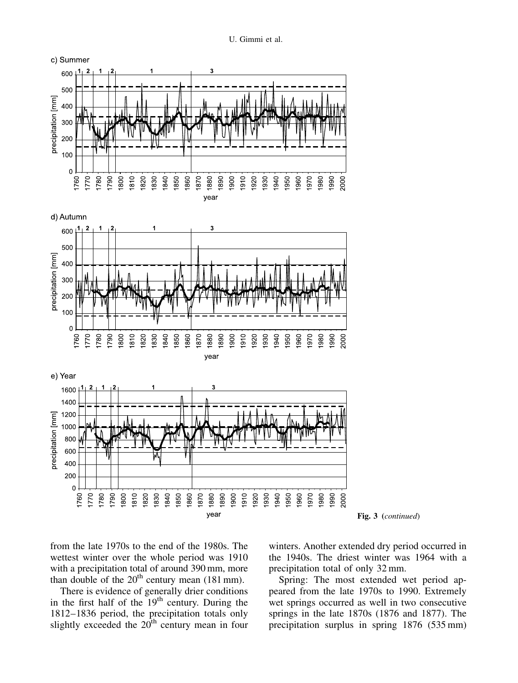U. Gimmi et al.









from the late 1970s to the end of the 1980s. The wettest winter over the whole period was 1910 with a precipitation total of around 390 mm, more than double of the  $20<sup>th</sup>$  century mean (181 mm).

There is evidence of generally drier conditions in the first half of the  $19<sup>th</sup>$  century. During the 1812–1836 period, the precipitation totals only slightly exceeded the  $20<sup>th</sup>$  century mean in four winters. Another extended dry period occurred in the 1940s. The driest winter was 1964 with a precipitation total of only 32 mm.

Spring: The most extended wet period appeared from the late 1970s to 1990. Extremely wet springs occurred as well in two consecutive springs in the late 1870s (1876 and 1877). The precipitation surplus in spring 1876 (535 mm)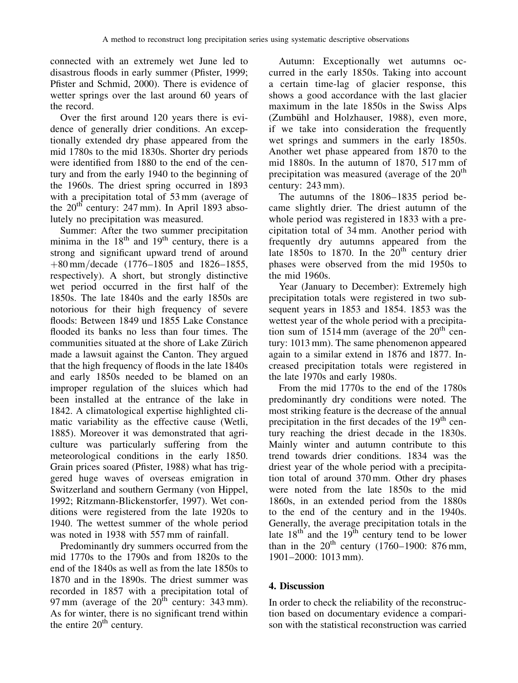connected with an extremely wet June led to disastrous floods in early summer (Pfister, 1999; Pfister and Schmid, 2000). There is evidence of wetter springs over the last around 60 years of the record.

Over the first around 120 years there is evidence of generally drier conditions. An exceptionally extended dry phase appeared from the mid 1780s to the mid 1830s. Shorter dry periods were identified from 1880 to the end of the century and from the early 1940 to the beginning of the 1960s. The driest spring occurred in 1893 with a precipitation total of 53 mm (average of the  $20^{th}$  century: 247 mm). In April 1893 absolutely no precipitation was measured.

Summer: After the two summer precipitation minima in the  $18<sup>th</sup>$  and  $19<sup>th</sup>$  century, there is a strong and significant upward trend of around  $+80 \text{ mm}/\text{decade}$  (1776–1805 and 1826–1855, respectively). A short, but strongly distinctive wet period occurred in the first half of the 1850s. The late 1840s and the early 1850s are notorious for their high frequency of severe floods: Between 1849 und 1855 Lake Constance flooded its banks no less than four times. The communities situated at the shore of Lake Zürich made a lawsuit against the Canton. They argued that the high frequency of floods in the late 1840s and early 1850s needed to be blamed on an improper regulation of the sluices which had been installed at the entrance of the lake in 1842. A climatological expertise highlighted climatic variability as the effective cause (Wetli, 1885). Moreover it was demonstrated that agriculture was particularly suffering from the meteorological conditions in the early 1850. Grain prices soared (Pfister, 1988) what has triggered huge waves of overseas emigration in Switzerland and southern Germany (von Hippel, 1992; Ritzmann-Blickenstorfer, 1997). Wet conditions were registered from the late 1920s to 1940. The wettest summer of the whole period was noted in 1938 with 557 mm of rainfall.

Predominantly dry summers occurred from the mid 1770s to the 1790s and from 1820s to the end of the 1840s as well as from the late 1850s to 1870 and in the 1890s. The driest summer was recorded in 1857 with a precipitation total of 97 mm (average of the  $20^{th}$  century: 343 mm). As for winter, there is no significant trend within the entire  $20<sup>th</sup>$  century.

Autumn: Exceptionally wet autumns occurred in the early 1850s. Taking into account a certain time-lag of glacier response, this shows a good accordance with the last glacier maximum in the late 1850s in the Swiss Alps (Zumbühl and Holzhauser, 1988), even more, if we take into consideration the frequently wet springs and summers in the early 1850s. Another wet phase appeared from 1870 to the mid 1880s. In the autumn of 1870, 517 mm of precipitation was measured (average of the  $20<sup>th</sup>$ century: 243 mm).

The autumns of the 1806–1835 period became slightly drier. The driest autumn of the whole period was registered in 1833 with a precipitation total of 34 mm. Another period with frequently dry autumns appeared from the late  $1850s$  to  $1870$ . In the  $20<sup>th</sup>$  century drier phases were observed from the mid 1950s to the mid 1960s.

Year (January to December): Extremely high precipitation totals were registered in two subsequent years in 1853 and 1854. 1853 was the wettest year of the whole period with a precipitation sum of  $1514 \text{ mm}$  (average of the  $20^{\text{th}}$  century: 1013 mm). The same phenomenon appeared again to a similar extend in 1876 and 1877. Increased precipitation totals were registered in the late 1970s and early 1980s.

From the mid 1770s to the end of the 1780s predominantly dry conditions were noted. The most striking feature is the decrease of the annual precipitation in the first decades of the  $19<sup>th</sup>$  century reaching the driest decade in the 1830s. Mainly winter and autumn contribute to this trend towards drier conditions. 1834 was the driest year of the whole period with a precipitation total of around 370 mm. Other dry phases were noted from the late 1850s to the mid 1860s, in an extended period from the 1880s to the end of the century and in the 1940s. Generally, the average precipitation totals in the late  $18<sup>th</sup>$  and the  $19<sup>th</sup>$  century tend to be lower than in the  $20^{th}$  century (1760–1900: 876 mm, 1901–2000: 1013 mm).

# 4. Discussion

In order to check the reliability of the reconstruction based on documentary evidence a comparison with the statistical reconstruction was carried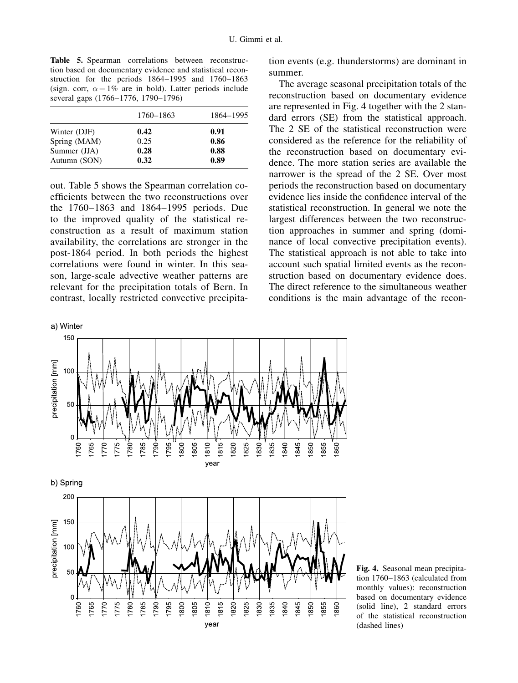Table 5. Spearman correlations between reconstruction based on documentary evidence and statistical reconstruction for the periods 1864–1995 and 1760–1863 (sign. corr,  $\alpha = 1\%$  are in bold). Latter periods include several gaps (1766–1776, 1790–1796)

|              | 1760–1863 | 1864–1995 |
|--------------|-----------|-----------|
| Winter (DJF) | 0.42      | 0.91      |
| Spring (MAM) | 0.25      | 0.86      |
| Summer (JJA) | 0.28      | 0.88      |
| Autumn (SON) | 0.32      | 0.89      |

out. Table 5 shows the Spearman correlation coefficients between the two reconstructions over the 1760–1863 and 1864–1995 periods. Due to the improved quality of the statistical reconstruction as a result of maximum station availability, the correlations are stronger in the post-1864 period. In both periods the highest correlations were found in winter. In this season, large-scale advective weather patterns are relevant for the precipitation totals of Bern. In contrast, locally restricted convective precipita-

a) Winter 150

tion events (e.g. thunderstorms) are dominant in summer.

The average seasonal precipitation totals of the reconstruction based on documentary evidence are represented in Fig. 4 together with the 2 standard errors (SE) from the statistical approach. The 2 SE of the statistical reconstruction were considered as the reference for the reliability of the reconstruction based on documentary evidence. The more station series are available the narrower is the spread of the 2 SE. Over most periods the reconstruction based on documentary evidence lies inside the confidence interval of the statistical reconstruction. In general we note the largest differences between the two reconstruction approaches in summer and spring (dominance of local convective precipitation events). The statistical approach is not able to take into account such spatial limited events as the reconstruction based on documentary evidence does. The direct reference to the simultaneous weather conditions is the main advantage of the recon-



Fig. 4. Seasonal mean precipitation 1760–1863 (calculated from monthly values): reconstruction based on documentary evidence (solid line), 2 standard errors of the statistical reconstruction (dashed lines)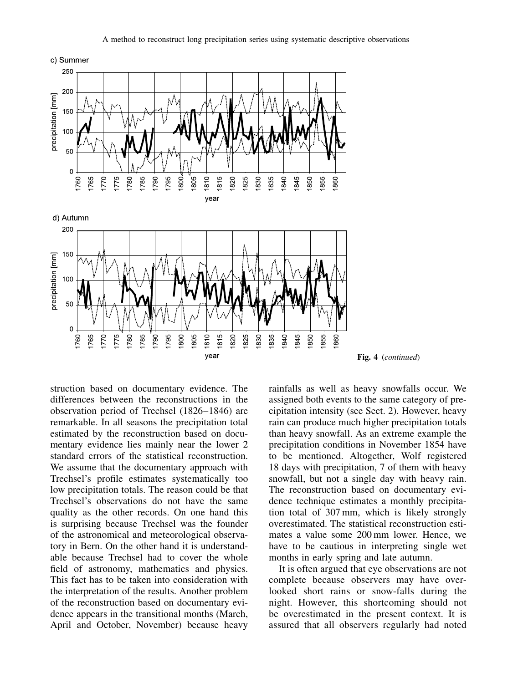

year

Fig. 4 (continued)

struction based on documentary evidence. The differences between the reconstructions in the observation period of Trechsel (1826–1846) are remarkable. In all seasons the precipitation total estimated by the reconstruction based on documentary evidence lies mainly near the lower 2 standard errors of the statistical reconstruction. We assume that the documentary approach with Trechsel's profile estimates systematically too low precipitation totals. The reason could be that Trechsel's observations do not have the same quality as the other records. On one hand this is surprising because Trechsel was the founder of the astronomical and meteorological observatory in Bern. On the other hand it is understandable because Trechsel had to cover the whole field of astronomy, mathematics and physics. This fact has to be taken into consideration with the interpretation of the results. Another problem of the reconstruction based on documentary evidence appears in the transitional months (March, April and October, November) because heavy

rainfalls as well as heavy snowfalls occur. We assigned both events to the same category of precipitation intensity (see Sect. 2). However, heavy rain can produce much higher precipitation totals than heavy snowfall. As an extreme example the precipitation conditions in November 1854 have to be mentioned. Altogether, Wolf registered 18 days with precipitation, 7 of them with heavy snowfall, but not a single day with heavy rain. The reconstruction based on documentary evidence technique estimates a monthly precipitation total of 307 mm, which is likely strongly overestimated. The statistical reconstruction estimates a value some 200 mm lower. Hence, we have to be cautious in interpreting single wet months in early spring and late autumn.

It is often argued that eye observations are not complete because observers may have overlooked short rains or snow-falls during the night. However, this shortcoming should not be overestimated in the present context. It is assured that all observers regularly had noted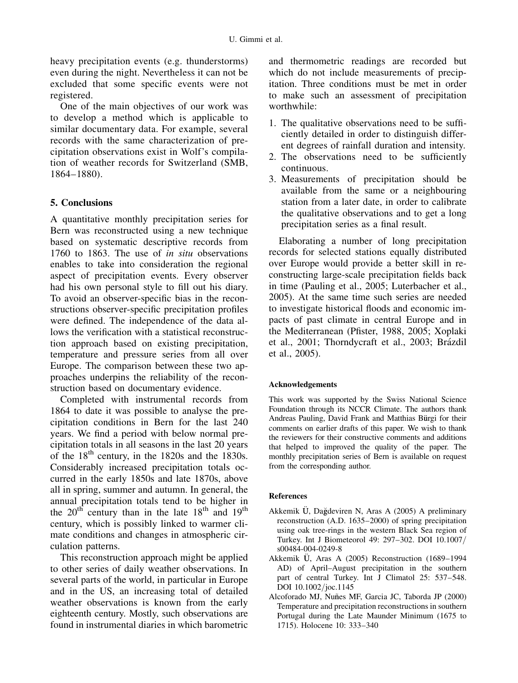heavy precipitation events (e.g. thunderstorms) even during the night. Nevertheless it can not be excluded that some specific events were not registered.

One of the main objectives of our work was to develop a method which is applicable to similar documentary data. For example, several records with the same characterization of precipitation observations exist in Wolf's compilation of weather records for Switzerland (SMB, 1864–1880).

# 5. Conclusions

A quantitative monthly precipitation series for Bern was reconstructed using a new technique based on systematic descriptive records from 1760 to 1863. The use of in situ observations enables to take into consideration the regional aspect of precipitation events. Every observer had his own personal style to fill out his diary. To avoid an observer-specific bias in the reconstructions observer-specific precipitation profiles were defined. The independence of the data allows the verification with a statistical reconstruction approach based on existing precipitation, temperature and pressure series from all over Europe. The comparison between these two approaches underpins the reliability of the reconstruction based on documentary evidence.

Completed with instrumental records from 1864 to date it was possible to analyse the precipitation conditions in Bern for the last 240 years. We find a period with below normal precipitation totals in all seasons in the last 20 years of the  $18<sup>th</sup>$  century, in the 1820s and the 1830s. Considerably increased precipitation totals occurred in the early 1850s and late 1870s, above all in spring, summer and autumn. In general, the annual precipitation totals tend to be higher in the  $20^{th}$  century than in the late  $18^{th}$  and  $19^{th}$ century, which is possibly linked to warmer climate conditions and changes in atmospheric circulation patterns.

This reconstruction approach might be applied to other series of daily weather observations. In several parts of the world, in particular in Europe and in the US, an increasing total of detailed weather observations is known from the early eighteenth century. Mostly, such observations are found in instrumental diaries in which barometric

and thermometric readings are recorded but which do not include measurements of precipitation. Three conditions must be met in order to make such an assessment of precipitation worthwhile:

- 1. The qualitative observations need to be sufficiently detailed in order to distinguish different degrees of rainfall duration and intensity.
- 2. The observations need to be sufficiently continuous.
- 3. Measurements of precipitation should be available from the same or a neighbouring station from a later date, in order to calibrate the qualitative observations and to get a long precipitation series as a final result.

Elaborating a number of long precipitation records for selected stations equally distributed over Europe would provide a better skill in reconstructing large-scale precipitation fields back in time (Pauling et al., 2005; Luterbacher et al., 2005). At the same time such series are needed to investigate historical floods and economic impacts of past climate in central Europe and in the Mediterranean (Pfister, 1988, 2005; Xoplaki et al., 2001; Thorndycraft et al., 2003; Brázdil et al., 2005).

## Acknowledgements

This work was supported by the Swiss National Science Foundation through its NCCR Climate. The authors thank Andreas Pauling, David Frank and Matthias Bürgi for their comments on earlier drafts of this paper. We wish to thank the reviewers for their constructive comments and additions that helped to improved the quality of the paper. The monthly precipitation series of Bern is available on request from the corresponding author.

## **References**

- Akkemik Ü, Dağdeviren N, Aras A (2005) A preliminary reconstruction (A.D. 1635–2000) of spring precipitation using oak tree-rings in the western Black Sea region of Turkey. Int J Biometeorol 49: 297–302. DOI 10.1007= s00484-004-0249-8
- Akkemik U, Aras A (2005) Reconstruction (1689–1994 AD) of April–August precipitation in the southern part of central Turkey. Int J Climatol 25: 537–548. DOI 10.1002/joc.1145
- Alcoforado MJ, Nuñes MF, Garcia JC, Taborda JP (2000) Temperature and precipitation reconstructions in southern Portugal during the Late Maunder Minimum (1675 to 1715). Holocene 10: 333–340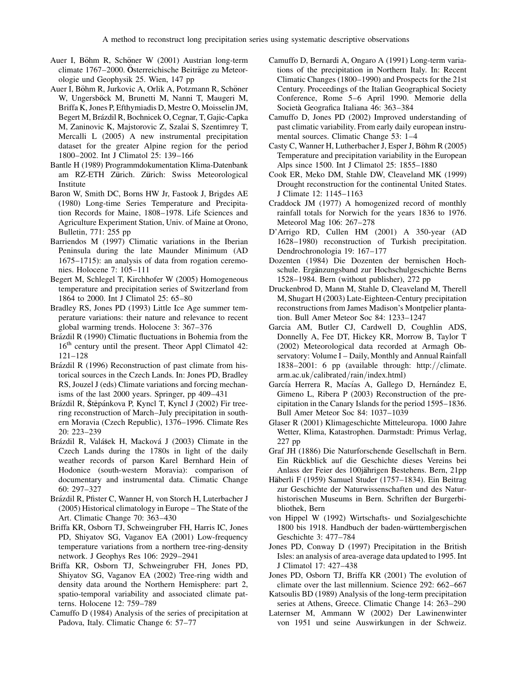- Auer I, Böhm R, Schöner W (2001) Austrian long-term climate 1767–2000. Österreichische Beiträge zu Meteorologie und Geophysik 25. Wien, 147 pp
- Auer I, Böhm R, Jurkovic A, Orlik A, Potzmann R, Schöner W, Ungersböck M, Brunetti M, Nanni T, Maugeri M, Briffa K, Jones P, Efthymiadis D, Mestre O, Moisselin JM, Begert M, Brázdil R, Bochnicek O, Cegnar, T, Gajic-Capka M, Zaninovic K, Majstorovic Z, Szalai S, Szentimrey T, Mercalli L (2005) A new instrumental precipitation dataset for the greater Alpine region for the period 1800–2002. Int J Climatol 25: 139–166
- Bantle H (1989) Programmdokumentation Klima-Datenbank am RZ-ETH Zürich. Zürich: Swiss Meteorological Institute
- Baron W, Smith DC, Borns HW Jr, Fastook J, Brigdes AE (1980) Long-time Series Temperature and Precipitation Records for Maine, 1808–1978. Life Sciences and Agriculture Experiment Station, Univ. of Maine at Orono, Bulletin, 771: 255 pp
- Barriendos M (1997) Climatic variations in the Iberian Peninsula during the late Maunder Minimum (AD 1675–1715): an analysis of data from rogation ceremonies. Holocene 7: 105–111
- Begert M, Schlegel T, Kirchhofer W (2005) Homogeneous temperature and precipitation series of Switzerland from 1864 to 2000. Int J Climatol 25: 65–80
- Bradley RS, Jones PD (1993) Little Ice Age summer temperature variations: their nature and relevance to recent global warming trends. Holocene 3: 367–376
- Brázdil R (1990) Climatic fluctuations in Bohemia from the 16<sup>th</sup> century until the present. Theor Appl Climatol 42: 121–128
- Brázdil R (1996) Reconstruction of past climate from historical sources in the Czech Lands. In: Jones PD, Bradley RS, Jouzel J (eds) Climate variations and forcing mechanisms of the last 2000 years. Springer, pp 409–431
- Brázdil R, Štěpánkova P, Kyncl T, Kyncl J (2002) Fir treering reconstruction of March–July precipitation in southern Moravia (Czech Republic), 1376–1996. Climate Res 20: 223–239
- Brázdil R, Valášek H, Macková J (2003) Climate in the Czech Lands during the 1780s in light of the daily weather records of parson Karel Bernhard Hein of Hodonice (south-western Moravia): comparison of documentary and instrumental data. Climatic Change 60: 297–327
- Brázdil R, Pfister C, Wanner H, von Storch H, Luterbacher J (2005) Historical climatology in Europe – The State of the Art. Climatic Change 70: 363–430
- Briffa KR, Osborn TJ, Schweingruber FH, Harris IC, Jones PD, Shiyatov SG, Vaganov EA (2001) Low-frequency temperature variations from a northern tree-ring-density network. J Geophys Res 106: 2929–2941
- Briffa KR, Osborn TJ, Schweingruber FH, Jones PD, Shiyatov SG, Vaganov EA (2002) Tree-ring width and density data around the Northern Hemisphere: part 2, spatio-temporal variability and associated climate patterns. Holocene 12: 759–789
- Camuffo D (1984) Analysis of the series of precipitation at Padova, Italy. Climatic Change 6: 57–77
- Camuffo D, Bernardi A, Ongaro A (1991) Long-term variations of the precipitation in Northern Italy. In: Recent Climatic Changes (1800–1990) and Prospects for the 21st Century. Proceedings of the Italian Geographical Society Conference, Rome 5–6 April 1990. Memorie della Societa Geografica Italiana 46: 363–384
- Camuffo D, Jones PD (2002) Improved understanding of past climatic variability. From early daily european instrumental sources. Climatic Change 53: 1–4
- Casty C, Wanner H, Lutherbacher J, Esper J, Böhm R (2005) Temperature and precipitation variability in the European Alps since 1500. Int J Climatol 25: 1855–1880
- Cook ER, Meko DM, Stahle DW, Cleaveland MK (1999) Drought reconstruction for the continental United States. J Climate 12: 1145–1163
- Craddock JM (1977) A homogenized record of monthly rainfall totals for Norwich for the years 1836 to 1976. Meteorol Mag 106: 267–278
- D'Arrigo RD, Cullen HM (2001) A 350-year (AD 1628–1980) reconstruction of Turkish precipitation. Dendrochronologia 19: 167–177
- Dozenten (1984) Die Dozenten der bernischen Hochschule. Ergänzungsband zur Hochschulgeschichte Berns 1528–1984. Bern (without publisher), 272 pp
- Druckenbrod D, Mann M, Stahle D, Cleaveland M, Therell M, Shugart H (2003) Late-Eighteen-Century precipitation reconstructions from James Madison's Montpelier plantation. Bull Amer Meteor Soc 84: 1233–1247
- Garcia AM, Butler CJ, Cardwell D, Coughlin ADS, Donnelly A, Fee DT, Hickey KR, Morrow B, Taylor T (2002) Meteorological data recorded at Armagh Observatory: Volume I – Daily, Monthly and Annual Rainfall  $1838-2001$ : 6 pp (available through: http://climate. arm.ac.uk/calibrated/rain/index.html)
- García Herrera R, Macías A, Gallego D, Hernández E, Gimeno L, Ribera P (2003) Reconstruction of the precipitation in the Canary Islands for the period 1595–1836. Bull Amer Meteor Soc 84: 1037–1039
- Glaser R (2001) Klimageschichte Mitteleuropa. 1000 Jahre Wetter, Klima, Katastrophen. Darmstadt: Primus Verlag, 227 pp
- Graf JH (1886) Die Naturforschende Gesellschaft in Bern. Ein Rückblick auf die Geschichte dieses Vereins bei Anlass der Feier des 100jährigen Bestehens. Bern, 21pp
- Häberli F (1959) Samuel Studer (1757–1834). Ein Beitrag zur Geschichte der Naturwissenschaften und des Naturhistorischen Museums in Bern. Schriften der Burgerbibliothek, Bern
- von Hippel W (1992) Wirtschafts- und Sozialgeschichte 1800 bis 1918. Handbuch der baden-württembergischen Geschichte 3: 477–784
- Jones PD, Conway D (1997) Precipitation in the British Isles: an analysis of area-average data updated to 1995. Int J Climatol 17: 427–438
- Jones PD, Osborn TJ, Briffa KR (2001) The evolution of climate over the last millennium. Science 292: 662–667
- Katsoulis BD (1989) Analysis of the long-term precipitation series at Athens, Greece. Climatic Change 14: 263–290
- Laternser M, Ammann W (2002) Der Lawinenwinter von 1951 und seine Auswirkungen in der Schweiz.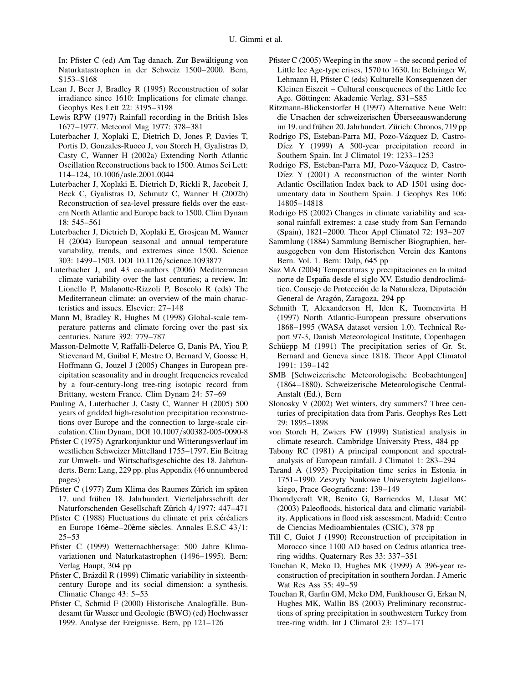In: Pfister C (ed) Am Tag danach. Zur Bewältigung von Naturkatastrophen in der Schweiz 1500–2000. Bern, S153–S168

- Lean J, Beer J, Bradley R (1995) Reconstruction of solar irradiance since 1610: Implications for climate change. Geophys Res Lett 22: 3195–3198
- Lewis RPW (1977) Rainfall recording in the British Isles 1677–1977. Meteorol Mag 1977: 378–381
- Luterbacher J, Xoplaki E, Dietrich D, Jones P, Davies T, Portis D, Gonzales-Ruoco J, von Storch H, Gyalistras D, Casty C, Wanner H (2002a) Extending North Atlantic Oscillation Reconstructions back to 1500. Atmos Sci Lett: 114–124, 10.1006/asle.2001.0044
- Luterbacher J, Xoplaki E, Dietrich D, Rickli R, Jacobeit J, Beck C, Gyalistras D, Schmutz C, Wanner H (2002b) Reconstruction of sea-level pressure fields over the eastern North Atlantic and Europe back to 1500. Clim Dynam 18: 545–561
- Luterbacher J, Dietrich D, Xoplaki E, Grosjean M, Wanner H (2004) European seasonal and annual temperature variability, trends, and extremes since 1500. Science 303: 1499-1503. DOI 10.1126/science.1093877
- Luterbacher J, and 43 co-authors (2006) Mediterranean climate variability over the last centuries; a review. In: Lionello P, Malanotte-Rizzoli P, Boscolo R (eds) The Mediterranean climate: an overview of the main characteristics and issues. Elsevier: 27–148
- Mann M, Bradley R, Hughes M (1998) Global-scale temperature patterns and climate forcing over the past six centuries. Nature 392: 779–787
- Masson-Delmotte V, Raffalli-Delerce G, Danis PA, Yiou P, Stievenard M, Guibal F, Mestre O, Bernard V, Goosse H, Hoffmann G, Jouzel J (2005) Changes in European precipitation seasonality and in drought frequencies revealed by a four-century-long tree-ring isotopic record from Brittany, western France. Clim Dynam 24: 57–69
- Pauling A, Luterbacher J, Casty C, Wanner H (2005) 500 years of gridded high-resolution precipitation reconstructions over Europe and the connection to large-scale circulation. Clim Dynam, DOI 10.1007/s00382-005-0090-8
- Pfister C (1975) Agrarkonjunktur und Witterungsverlauf im westlichen Schweizer Mittelland 1755–1797. Ein Beitrag zur Umwelt- und Wirtschaftsgeschichte des 18. Jahrhunderts. Bern: Lang, 229 pp. plus Appendix (46 unnumbered pages)
- Pfister C (1977) Zum Klima des Raumes Zürich im späten 17. und frühen 18. Jahrhundert. Vierteljahrsschrift der Naturforschenden Gesellschaft Zürich 4/1977: 447–471
- Pfister C (1988) Fluctuations du climate et prix céréaliers en Europe 16ème–20ème siècles. Annales E.S.C  $43/1$ :  $25 - 53$
- Pfister C (1999) Wetternachhersage: 500 Jahre Klimavariationen und Naturkatastrophen (1496–1995). Bern: Verlag Haupt, 304 pp
- Pfister C, Brázdil R (1999) Climatic variability in sixteenthcentury Europe and its social dimension: a synthesis. Climatic Change 43: 5–53
- Pfister C, Schmid F (2000) Historische Analogfälle. Bundesamt für Wasser und Geologie (BWG) (ed) Hochwasser 1999. Analyse der Ereignisse. Bern, pp 121–126
- Pfister C (2005) Weeping in the snow the second period of Little Ice Age-type crises, 1570 to 1630. In: Behringer W, Lehmann H, Pfister C (eds) Kulturelle Konsequenzen der Kleinen Eiszeit – Cultural consequences of the Little Ice Age. Göttingen: Akademie Verlag, S31-S85
- Ritzmann-Blickenstorfer H (1997) Alternative Neue Welt: die Ursachen der schweizerischen Überseeauswanderung im 19. und frühen 20. Jahrhundert. Zürich: Chronos, 719 pp
- Rodrigo FS, Esteban-Parra MJ, Pozo-Vázquez D, Castro-Díez Y (1999) A 500-year precipitation record in Southern Spain. Int J Climatol 19: 1233–1253
- Rodrigo FS, Esteban-Parra MJ, Pozo-Vázquez D, Castro-Díez Y (2001) A reconstruction of the winter North Atlantic Oscillation Index back to AD 1501 using documentary data in Southern Spain. J Geophys Res 106: 14805–14818
- Rodrigo FS (2002) Changes in climate variability and seasonal rainfall extremes: a case study from San Fernando (Spain), 1821–2000. Theor Appl Climatol 72: 193–207
- Sammlung (1884) Sammlung Bernischer Biographien, herausgegeben von dem Historischen Verein des Kantons Bern. Vol. 1. Bern: Dalp, 645 pp
- Saz MA (2004) Temperaturas y precipitaciones en la mitad norte de España desde el siglo XV. Estudio dendroclimático. Consejo de Protección de la Naturaleza, Diputación General de Aragon, Zaragoza, 294 pp
- Schmith T, Alexanderson H, Iden K, Tuomenvirta H (1997) North Atlantic-European pressure observations 1868–1995 (WASA dataset version 1.0). Technical Report 97-3, Danish Meteorological Institute, Copenhagen
- Schüepp M (1991) The precipitation series of Gr. St. Bernard and Geneva since 1818. Theor Appl Climatol 1991: 139–142
- SMB [Schweizerische Meteorologische Beobachtungen] (1864–1880). Schweizerische Meteorologische Central-Anstalt (Ed.), Bern
- Slonosky V (2002) Wet winters, dry summers? Three centuries of precipitation data from Paris. Geophys Res Lett 29: 1895–1898
- von Storch H, Zwiers FW (1999) Statistical analysis in climate research. Cambridge University Press, 484 pp
- Tabony RC (1981) A principal component and spectralanalysis of European rainfall. J Climatol 1: 283–294
- Tarand A (1993) Precipitation time series in Estonia in 1751–1990. Zeszyty Naukowe Uniwersytetu Jagiellonskiego, Prace Geograficzne: 139–149
- Thorndycraft VR, Benito G, Barriendos M, Llasat MC (2003) Paleofloods, historical data and climatic variability. Applications in flood risk assessment. Madrid: Centro de Ciencias Medioambientales (CSIC), 378 pp
- Till C, Guiot J (1990) Reconstruction of precipitation in Morocco since 1100 AD based on Cedrus atlantica treering widths. Quaternary Res 33: 337–351
- Touchan R, Meko D, Hughes MK (1999) A 396-year reconstruction of precipitation in southern Jordan. J Americ Wat Res Ass 35: 49–59
- Touchan R, Garfin GM, Meko DM, Funkhouser G, Erkan N, Hughes MK, Wallin BS (2003) Preliminary reconstructions of spring precipitation in southwestern Turkey from tree-ring width. Int J Climatol 23: 157–171